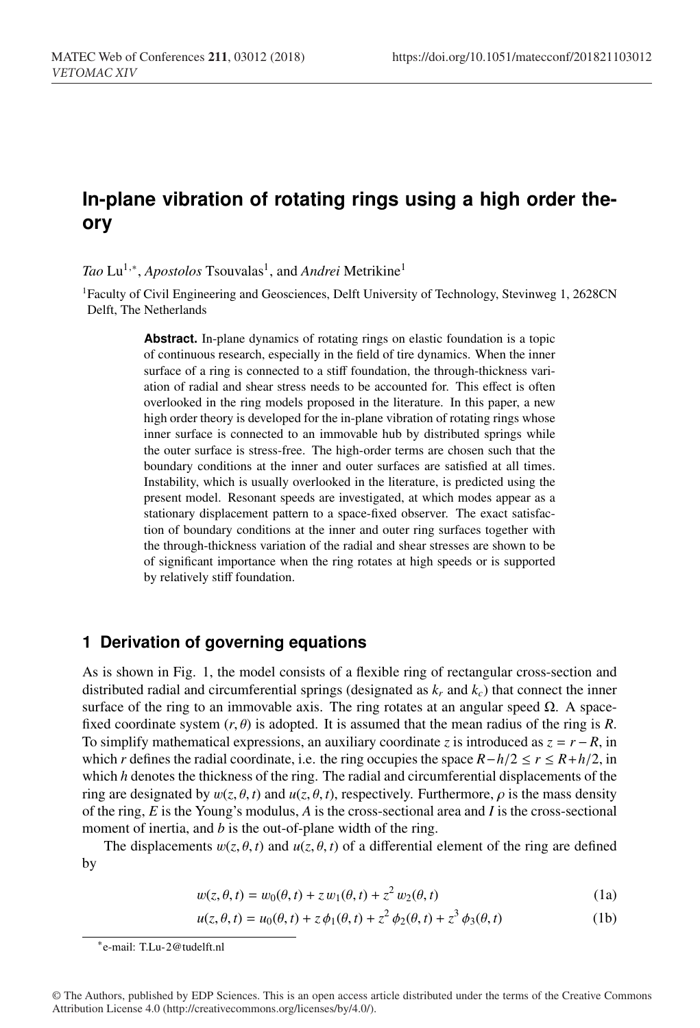# **In-plane vibration of rotating rings using a high order theory**

*Tao* Lu<sup>1,∗</sup>, *Apostolos* Tsouvalas<sup>1</sup>, and *Andrei* Metrikine<sup>1</sup>

1Faculty of Civil Engineering and Geosciences, Delft University of Technology, Stevinweg 1, 2628CN Delft, The Netherlands

> **Abstract.** In-plane dynamics of rotating rings on elastic foundation is a topic of continuous research, especially in the field of tire dynamics. When the inner surface of a ring is connected to a stiff foundation, the through-thickness variation of radial and shear stress needs to be accounted for. This effect is often overlooked in the ring models proposed in the literature. In this paper, a new high order theory is developed for the in-plane vibration of rotating rings whose inner surface is connected to an immovable hub by distributed springs while the outer surface is stress-free. The high-order terms are chosen such that the boundary conditions at the inner and outer surfaces are satisfied at all times. Instability, which is usually overlooked in the literature, is predicted using the present model. Resonant speeds are investigated, at which modes appear as a stationary displacement pattern to a space-fixed observer. The exact satisfaction of boundary conditions at the inner and outer ring surfaces together with the through-thickness variation of the radial and shear stresses are shown to be of significant importance when the ring rotates at high speeds or is supported by relatively stiff foundation.

# **1 Derivation of governing equations**

As is shown in Fig. 1, the model consists of a flexible ring of rectangular cross-section and distributed radial and circumferential springs (designated as  $k_r$  and  $k_c$ ) that connect the inner surface of the ring to an immovable axis. The ring rotates at an angular speed  $\Omega$ . A spacefixed coordinate system  $(r, \theta)$  is adopted. It is assumed that the mean radius of the ring is *R*. To simplify mathematical expressions, an auxiliary coordinate *z* is introduced as  $z = r - R$ , in which *r* defines the radial coordinate, i.e. the ring occupies the space  $R-h/2 \le r \le R+h/2$ , in which *h* denotes the thickness of the ring. The radial and circumferential displacements of the ring are designated by  $w(z, \theta, t)$  and  $u(z, \theta, t)$ , respectively. Furthermore,  $\rho$  is the mass density of the ring, *E* is the Young's modulus, *A* is the cross-sectional area and *I* is the cross-sectional moment of inertia, and *b* is the out-of-plane width of the ring.

The displacements  $w(z, \theta, t)$  and  $u(z, \theta, t)$  of a differential element of the ring are defined by

$$
w(z, \theta, t) = w_0(\theta, t) + z w_1(\theta, t) + z^2 w_2(\theta, t)
$$
 (1a)

$$
u(z, \theta, t) = u_0(\theta, t) + z \phi_1(\theta, t) + z^2 \phi_2(\theta, t) + z^3 \phi_3(\theta, t)
$$
 (1b)

<sup>∗</sup>e-mail: T.Lu-2@tudelft.nl

<sup>©</sup> The Authors, published by EDP Sciences. This is an open access article distributed under the terms of the Creative Commons Attribution License 4.0 (http://creativecommons.org/licenses/by/4.0/).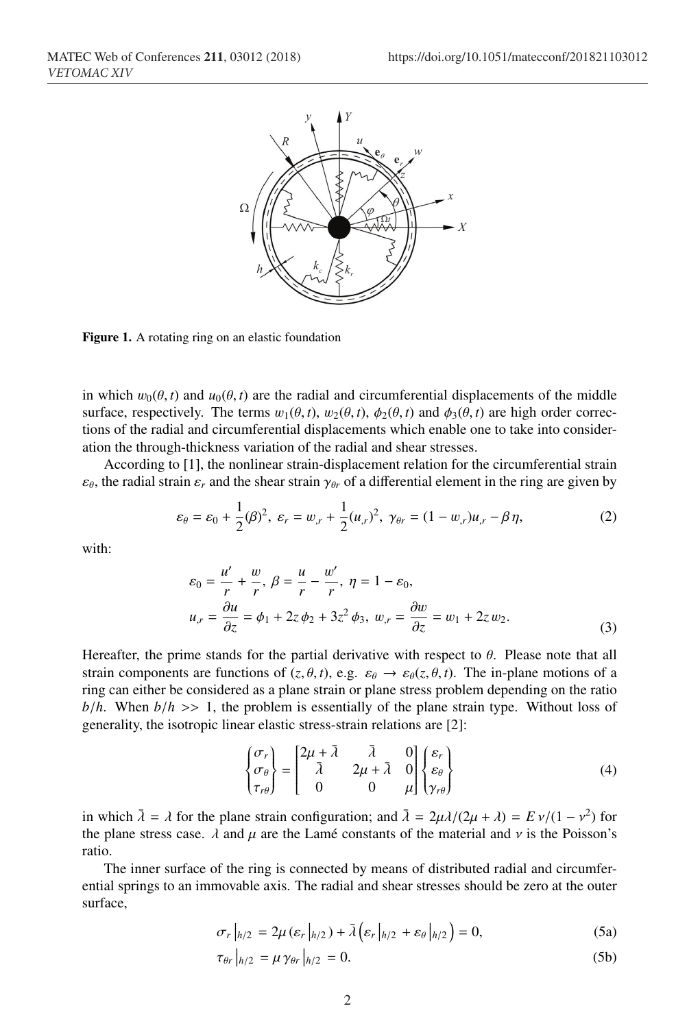

Figure 1. A rotating ring on an elastic foundation

in which  $w_0(\theta, t)$  and  $u_0(\theta, t)$  are the radial and circumferential displacements of the middle surface, respectively. The terms  $w_1(\theta, t)$ ,  $w_2(\theta, t)$ ,  $\phi_2(\theta, t)$  and  $\phi_3(\theta, t)$  are high order corrections of the radial and circumferential displacements which enable one to take into consideration the through-thickness variation of the radial and shear stresses.

According to [1], the nonlinear strain-displacement relation for the circumferential strain  $\varepsilon_{\theta}$ , the radial strain  $\varepsilon_r$  and the shear strain  $\gamma_{\theta r}$  of a differential element in the ring are given by

$$
\varepsilon_{\theta} = \varepsilon_0 + \frac{1}{2} (\beta)^2, \ \varepsilon_r = w_{,r} + \frac{1}{2} (u_{,r})^2, \ \gamma_{\theta r} = (1 - w_{,r}) u_{,r} - \beta \eta, \tag{2}
$$

with:

$$
\varepsilon_0 = \frac{u'}{r} + \frac{w}{r}, \ \beta = \frac{u}{r} - \frac{w'}{r}, \ \eta = 1 - \varepsilon_0,
$$
  

$$
u_{,r} = \frac{\partial u}{\partial z} = \phi_1 + 2z \phi_2 + 3z^2 \phi_3, \ w_{,r} = \frac{\partial w}{\partial z} = w_1 + 2z w_2.
$$
 (3)

Hereafter, the prime stands for the partial derivative with respect to  $\theta$ . Please note that all strain components are functions of  $(z, \theta, t)$ , e.g.  $\varepsilon_{\theta} \to \varepsilon_{\theta}(z, \theta, t)$ . The in-plane motions of a ring can either be considered as a plane strain or plane stress problem depending on the ratio  $b/h$ . When  $b/h \gg 1$ , the problem is essentially of the plane strain type. Without loss of generality, the isotropic linear elastic stress-strain relations are [2]:

$$
\begin{Bmatrix} \sigma_r \\ \sigma_\theta \\ \tau_{r\theta} \end{Bmatrix} = \begin{bmatrix} 2\mu + \bar{\lambda} & \bar{\lambda} & 0 \\ \bar{\lambda} & 2\mu + \bar{\lambda} & 0 \\ 0 & 0 & \mu \end{bmatrix} \begin{Bmatrix} \varepsilon_r \\ \varepsilon_\theta \\ \gamma_{r\theta} \end{Bmatrix}
$$
 (4)

in which  $\bar{\lambda} = \lambda$  for the plane strain configuration; and  $\bar{\lambda} = 2\mu\lambda/(2\mu + \lambda) = E v/(1 - v^2)$  for the plane stress case.  $\lambda$  and  $\mu$  are the Lamé constants of the material and  $\nu$  is the Poisson's ratio.

The inner surface of the ring is connected by means of distributed radial and circumferential springs to an immovable axis. The radial and shear stresses should be zero at the outer surface,

$$
\sigma_r|_{h/2} = 2\mu(\varepsilon_r|_{h/2}) + \bar{\lambda}(\varepsilon_r|_{h/2} + \varepsilon_\theta|_{h/2}) = 0, \tag{5a}
$$

$$
\tau_{\theta r}|_{h/2} = \mu \gamma_{\theta r}|_{h/2} = 0. \tag{5b}
$$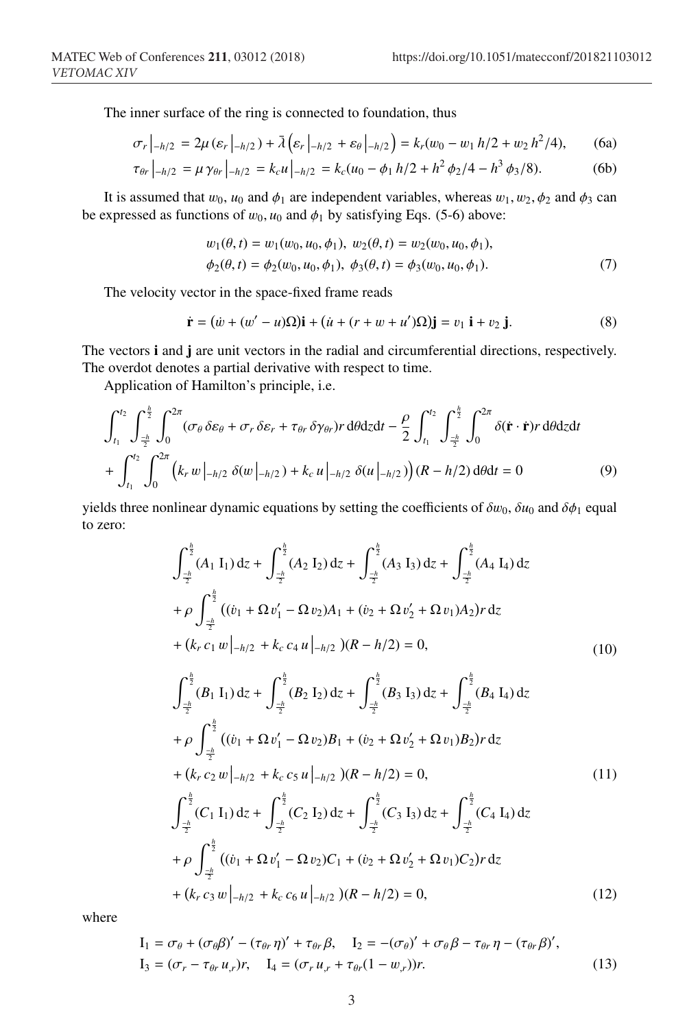The inner surface of the ring is connected to foundation, thus

 $\overline{\phantom{a}}$ 

$$
\sigma_r |_{-h/2} = 2\mu (\varepsilon_r |_{-h/2}) + \bar{\lambda} (\varepsilon_r |_{-h/2} + \varepsilon_\theta |_{-h/2}) = k_r (w_0 - w_1 h/2 + w_2 h^2/4), \qquad (6a)
$$

 $\mathcal{L}$ 

$$
\tau_{\theta r}\big|_{-h/2} = \mu \gamma_{\theta r}\big|_{-h/2} = k_c u\big|_{-h/2} = k_c (u_0 - \phi_1 h/2 + h^2 \phi_2/4 - h^3 \phi_3/8). \tag{6b}
$$

It is assumed that  $w_0$ ,  $u_0$  and  $\phi_1$  are independent variables, whereas  $w_1, w_2, \phi_2$  and  $\phi_3$  can be expressed as functions of  $w_0$ ,  $u_0$  and  $\phi_1$  by satisfying Eqs. (5-6) above:

$$
w_1(\theta, t) = w_1(w_0, u_0, \phi_1), w_2(\theta, t) = w_2(w_0, u_0, \phi_1),
$$
  
\n
$$
\phi_2(\theta, t) = \phi_2(w_0, u_0, \phi_1), \phi_3(\theta, t) = \phi_3(w_0, u_0, \phi_1).
$$
\n(7)

The velocity vector in the space-fixed frame reads

$$
\dot{\mathbf{r}} = (\dot{w} + (w' - u)\Omega)\mathbf{i} + (\dot{u} + (r + w + u')\Omega)\mathbf{j} = v_1 \mathbf{i} + v_2 \mathbf{j}.
$$
 (8)

The vectors i and j are unit vectors in the radial and circumferential directions, respectively. The overdot denotes a partial derivative with respect to time.

Application of Hamilton's principle, i.e.

$$
\int_{t_1}^{t_2} \int_{-\frac{h}{2}}^{\frac{h}{2}} \int_0^{2\pi} (\sigma_\theta \delta \varepsilon_\theta + \sigma_r \delta \varepsilon_r + \tau_{\theta r} \delta \gamma_{\theta r}) r \, d\theta dz dt - \frac{\rho}{2} \int_{t_1}^{t_2} \int_{-\frac{h}{2}}^{\frac{h}{2}} \int_0^{2\pi} \delta(\dot{\mathbf{r}} \cdot \dot{\mathbf{r}}) r \, d\theta dz dt
$$

$$
+ \int_{t_1}^{t_2} \int_0^{2\pi} \left( k_r w \, |_{-h/2} \delta(w \, |_{-h/2}) + k_c u \, |_{-h/2} \delta(u \, |_{-h/2}) \right) (R - h/2) \, d\theta dt = 0 \tag{9}
$$

yields three nonlinear dynamic equations by setting the coefficients of  $\delta w_0$ ,  $\delta u_0$  and  $\delta \phi_1$  equal to zero:

$$
\int_{-\frac{h}{2}}^{\frac{h}{2}} (A_1 I_1) dz + \int_{-\frac{h}{2}}^{\frac{h}{2}} (A_2 I_2) dz + \int_{-\frac{h}{2}}^{\frac{h}{2}} (A_3 I_3) dz + \int_{-\frac{h}{2}}^{\frac{h}{2}} (A_4 I_4) dz
$$
  
+  $\rho \int_{-\frac{h}{2}}^{\frac{h}{2}} ((\dot{v}_1 + \Omega v_1' - \Omega v_2) A_1 + (\dot{v}_2 + \Omega v_2' + \Omega v_1) A_2) r dz$   
+  $(k_r c_1 w |_{-h/2} + k_c c_4 u |_{-h/2}) (R - h/2) = 0,$  (10)  

$$
\int_{-\frac{h}{2}}^{\frac{h}{2}} (B_1 I_1) dz + \int_{-\frac{h}{2}}^{\frac{h}{2}} (B_2 I_2) dz + \int_{-\frac{h}{2}}^{\frac{h}{2}} (B_3 I_3) dz + \int_{-\frac{h}{2}}^{\frac{h}{2}} (B_4 I_4) dz
$$
  
+  $\rho \int_{-\frac{h}{2}}^{\frac{h}{2}} ((\dot{v}_1 + \Omega v_1' - \Omega v_2) B_1 + (\dot{v}_2 + \Omega v_2' + \Omega v_1) B_2) r dz$   
+  $(k_r c_2 w |_{-h/2} + k_c c_5 u |_{-h/2}) (R - h/2) = 0,$  (11)  

$$
\int_{-\frac{h}{2}}^{\frac{h}{2}} (C_1 I_1) dz + \int_{-\frac{h}{2}}^{\frac{h}{2}} (C_2 I_2) dz + \int_{-\frac{h}{2}}^{\frac{h}{2}} (C_3 I_3) dz + \int_{-\frac{h}{2}}^{\frac{h}{2}} (C_4 I_4) dz
$$
  
+  $\rho \int_{-\frac{h}{2}}^{\frac{h}{2}} ((\dot{v}_1 + \Omega v_1' - \Omega v_2) C_1 + (\dot{v}_2 + \Omega v_2' + \Omega v_1) C_2) r dz$   
+  $(k_r c_3 w |_{-h/2} + k_c c_6 u |_{-h/2}) (R - h/2) = 0,$  (12)

where

$$
I_1 = \sigma_\theta + (\sigma_\theta \beta)' - (\tau_{\theta r} \eta)' + \tau_{\theta r} \beta, \quad I_2 = -(\sigma_\theta)' + \sigma_\theta \beta - \tau_{\theta r} \eta - (\tau_{\theta r} \beta)',
$$
  
\n
$$
I_3 = (\sigma_r - \tau_{\theta r} u_r)r, \quad I_4 = (\sigma_r u_r + \tau_{\theta r} (1 - w_r))r.
$$
\n(13)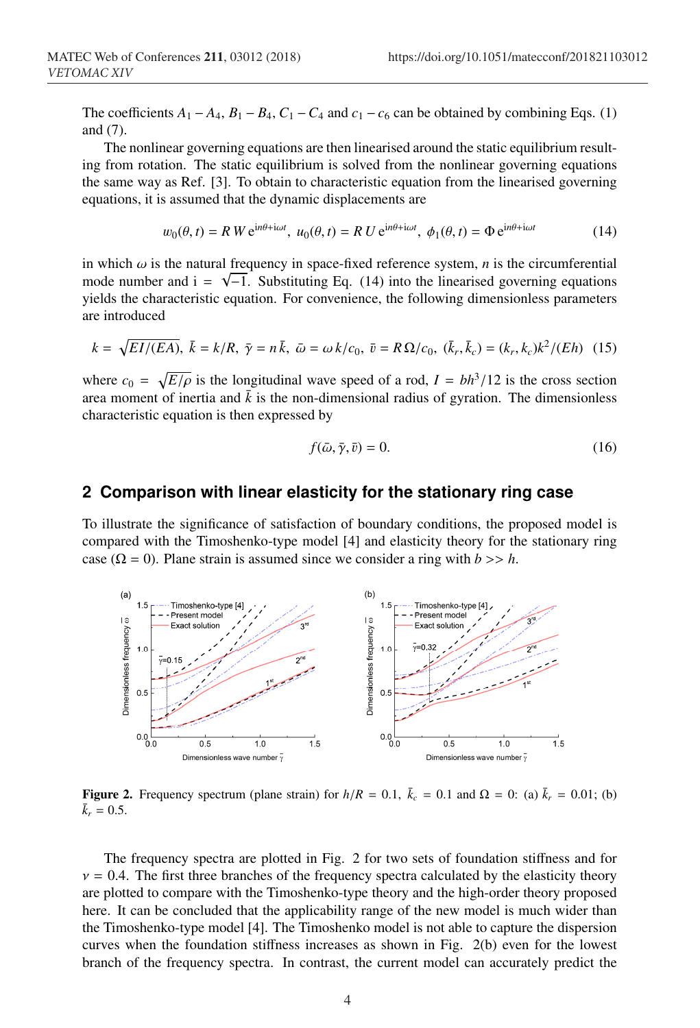The coefficients  $A_1 - A_4$ ,  $B_1 - B_4$ ,  $C_1 - C_4$  and  $c_1 - c_6$  can be obtained by combining Eqs. (1) and (7).

The nonlinear governing equations are then linearised around the static equilibrium resulting from rotation. The static equilibrium is solved from the nonlinear governing equations the same way as Ref. [3]. To obtain to characteristic equation from the linearised governing equations, it is assumed that the dynamic displacements are

$$
w_0(\theta, t) = R W e^{in\theta + i\omega t}, \ u_0(\theta, t) = R U e^{in\theta + i\omega t}, \ \phi_1(\theta, t) = \Phi e^{in\theta + i\omega t}
$$
 (14)

in which  $\omega$  is the natural frequency in space-fixed reference system,  $n$  is the circumferential m which is no included notation  $\frac{1}{2}$  in space the reference system, who included extending mode number and  $i = \sqrt{-1}$ . Substituting Eq. (14) into the linearised governing equations yields the characteristic equation. For convenience, the following dimensionless parameters are introduced

$$
k = \sqrt{EI/(EA)}, \ \bar{k} = k/R, \ \bar{\gamma} = n\bar{k}, \ \bar{\omega} = \omega k/c_0, \ \bar{v} = R\Omega/c_0, \ (\bar{k}_r, \bar{k}_c) = (k_r, k_c)k^2/(Eh) \tag{15}
$$

where  $c_0 = \sqrt{E/\rho}$  is the longitudinal wave speed of a rod,  $I = bh^3/12$  is the cross section area moment of inertia and  $\bar{k}$  is the non-dimensional radius of gyration. The dimensionless characteristic equation is then expressed by

$$
f(\bar{\omega}, \bar{\gamma}, \bar{v}) = 0. \tag{16}
$$

#### **2 Comparison with linear elasticity for the stationary ring case**

To illustrate the significance of satisfaction of boundary conditions, the proposed model is compared with the Timoshenko-type model [4] and elasticity theory for the stationary ring case ( $\Omega = 0$ ). Plane strain is assumed since we consider a ring with  $b \gg h$ .



**Figure 2.** Frequency spectrum (plane strain) for  $h/R = 0.1$ ,  $\bar{k}_c = 0.1$  and  $\Omega = 0$ : (a)  $\bar{k}_r = 0.01$ ; (b)  $\bar{k}_r = 0.5$ .  $\bar{k}_r = 0.5$ .

The frequency spectra are plotted in Fig. 2 for two sets of foundation stiffness and for  $v = 0.4$ . The first three branches of the frequency spectra calculated by the elasticity theory are plotted to compare with the Timoshenko-type theory and the high-order theory proposed here. It can be concluded that the applicability range of the new model is much wider than the Timoshenko-type model [4]. The Timoshenko model is not able to capture the dispersion curves when the foundation stiffness increases as shown in Fig. 2(b) even for the lowest branch of the frequency spectra. In contrast, the current model can accurately predict the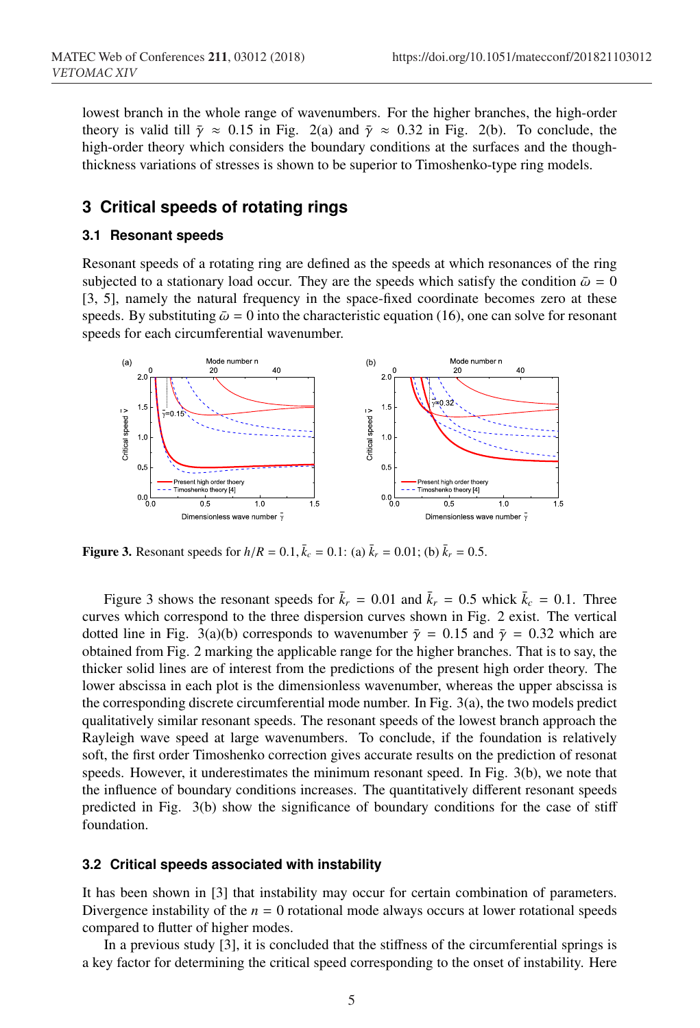lowest branch in the whole range of wavenumbers. For the higher branches, the high-order theory is valid till  $\bar{y} \approx 0.15$  in Fig. 2(a) and  $\bar{y} \approx 0.32$  in Fig. 2(b). To conclude, the high-order theory which considers the boundary conditions at the surfaces and the thoughthickness variations of stresses is shown to be superior to Timoshenko-type ring models.

# **3 Critical speeds of rotating rings**

#### **3.1 Resonant speeds**

Resonant speeds of a rotating ring are defined as the speeds at which resonances of the ring subjected to a stationary load occur. They are the speeds which satisfy the condition  $\bar{\omega} = 0$ [3, 5], namely the natural frequency in the space-fixed coordinate becomes zero at these speeds. By substituting  $\bar{\omega} = 0$  into the characteristic equation (16), one can solve for resonant speeds for each circumferential wavenumber.



**Figure 3.** Resonant speeds for  $h/R = 0.1$ ,  $\bar{k}_c = 0.1$ : (a)  $\bar{k}_r = 0.01$ ; (b)  $\bar{k}_r = 0.5$ .

Figure 3 shows the resonant speeds for  $\bar{k}_r = 0.01$  and  $\bar{k}_r = 0.5$  whick  $\bar{k}_c = 0.1$ . Three curves which correspond to the three dispersion curves shown in Fig. 2 exist. The vertical dotted line in Fig. 3(a)(b) corresponds to wavenumber  $\bar{\gamma} = 0.15$  and  $\bar{\gamma} = 0.32$  which are obtained from Fig. 2 marking the applicable range for the higher branches. That is to say, the thicker solid lines are of interest from the predictions of the present high order theory. The lower abscissa in each plot is the dimensionless wavenumber, whereas the upper abscissa is the corresponding discrete circumferential mode number. In Fig. 3(a), the two models predict qualitatively similar resonant speeds. The resonant speeds of the lowest branch approach the Rayleigh wave speed at large wavenumbers. To conclude, if the foundation is relatively soft, the first order Timoshenko correction gives accurate results on the prediction of resonat speeds. However, it underestimates the minimum resonant speed. In Fig. 3(b), we note that the influence of boundary conditions increases. The quantitatively different resonant speeds predicted in Fig. 3(b) show the significance of boundary conditions for the case of stiff foundation.

#### **3.2 Critical speeds associated with instability**

It has been shown in [3] that instability may occur for certain combination of parameters. Divergence instability of the  $n = 0$  rotational mode always occurs at lower rotational speeds compared to flutter of higher modes.

In a previous study [3], it is concluded that the stiffness of the circumferential springs is a key factor for determining the critical speed corresponding to the onset of instability. Here